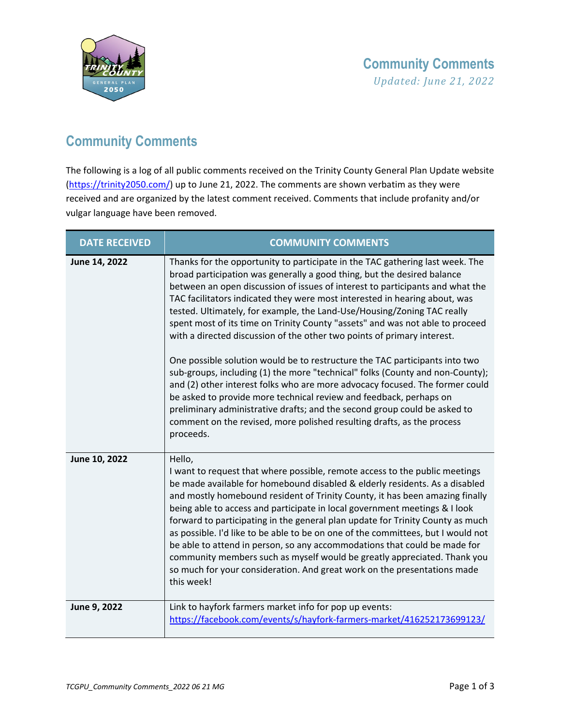

## **Community Comments**

The following is a log of all public comments received on the Trinity County General Plan Update website [\(https://trinity2050.com/\)](https://trinity2050.com/) up to June 21, 2022. The comments are shown verbatim as they were received and are organized by the latest comment received. Comments that include profanity and/or vulgar language have been removed.

| <b>DATE RECEIVED</b> | <b>COMMUNITY COMMENTS</b>                                                                                                                                                                                                                                                                                                                                                                                                                                                                                                                                                                                                                                                                                                                                                                                                                                                                                                                                                                                                                                |
|----------------------|----------------------------------------------------------------------------------------------------------------------------------------------------------------------------------------------------------------------------------------------------------------------------------------------------------------------------------------------------------------------------------------------------------------------------------------------------------------------------------------------------------------------------------------------------------------------------------------------------------------------------------------------------------------------------------------------------------------------------------------------------------------------------------------------------------------------------------------------------------------------------------------------------------------------------------------------------------------------------------------------------------------------------------------------------------|
| June 14, 2022        | Thanks for the opportunity to participate in the TAC gathering last week. The<br>broad participation was generally a good thing, but the desired balance<br>between an open discussion of issues of interest to participants and what the<br>TAC facilitators indicated they were most interested in hearing about, was<br>tested. Ultimately, for example, the Land-Use/Housing/Zoning TAC really<br>spent most of its time on Trinity County "assets" and was not able to proceed<br>with a directed discussion of the other two points of primary interest.<br>One possible solution would be to restructure the TAC participants into two<br>sub-groups, including (1) the more "technical" folks (County and non-County);<br>and (2) other interest folks who are more advocacy focused. The former could<br>be asked to provide more technical review and feedback, perhaps on<br>preliminary administrative drafts; and the second group could be asked to<br>comment on the revised, more polished resulting drafts, as the process<br>proceeds. |
| June 10, 2022        | Hello,<br>I want to request that where possible, remote access to the public meetings<br>be made available for homebound disabled & elderly residents. As a disabled<br>and mostly homebound resident of Trinity County, it has been amazing finally<br>being able to access and participate in local government meetings & I look<br>forward to participating in the general plan update for Trinity County as much<br>as possible. I'd like to be able to be on one of the committees, but I would not<br>be able to attend in person, so any accommodations that could be made for<br>community members such as myself would be greatly appreciated. Thank you<br>so much for your consideration. And great work on the presentations made<br>this week!                                                                                                                                                                                                                                                                                              |
| June 9, 2022         | Link to hayfork farmers market info for pop up events:<br>https://facebook.com/events/s/hayfork-farmers-market/416252173699123/                                                                                                                                                                                                                                                                                                                                                                                                                                                                                                                                                                                                                                                                                                                                                                                                                                                                                                                          |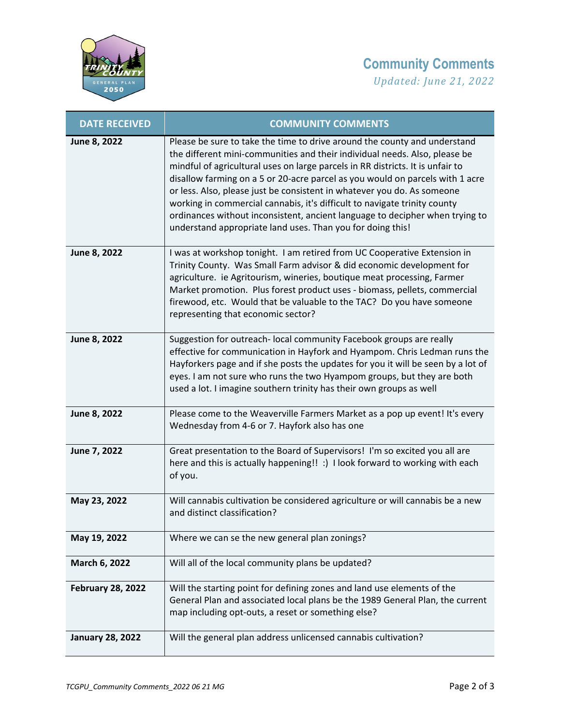

## **Community Comments**

*Updated: June 21, 2022*

| <b>DATE RECEIVED</b>     | <b>COMMUNITY COMMENTS</b>                                                                                                                                                                                                                                                                                                                                                                                                                                                                                                                                                                                                        |
|--------------------------|----------------------------------------------------------------------------------------------------------------------------------------------------------------------------------------------------------------------------------------------------------------------------------------------------------------------------------------------------------------------------------------------------------------------------------------------------------------------------------------------------------------------------------------------------------------------------------------------------------------------------------|
| June 8, 2022             | Please be sure to take the time to drive around the county and understand<br>the different mini-communities and their individual needs. Also, please be<br>mindful of agricultural uses on large parcels in RR districts. It is unfair to<br>disallow farming on a 5 or 20-acre parcel as you would on parcels with 1 acre<br>or less. Also, please just be consistent in whatever you do. As someone<br>working in commercial cannabis, it's difficult to navigate trinity county<br>ordinances without inconsistent, ancient language to decipher when trying to<br>understand appropriate land uses. Than you for doing this! |
| June 8, 2022             | I was at workshop tonight. I am retired from UC Cooperative Extension in<br>Trinity County. Was Small Farm advisor & did economic development for<br>agriculture. ie Agritourism, wineries, boutique meat processing, Farmer<br>Market promotion. Plus forest product uses - biomass, pellets, commercial<br>firewood, etc. Would that be valuable to the TAC? Do you have someone<br>representing that economic sector?                                                                                                                                                                                                         |
| June 8, 2022             | Suggestion for outreach- local community Facebook groups are really<br>effective for communication in Hayfork and Hyampom. Chris Ledman runs the<br>Hayforkers page and if she posts the updates for you it will be seen by a lot of<br>eyes. I am not sure who runs the two Hyampom groups, but they are both<br>used a lot. I imagine southern trinity has their own groups as well                                                                                                                                                                                                                                            |
| June 8, 2022             | Please come to the Weaverville Farmers Market as a pop up event! It's every<br>Wednesday from 4-6 or 7. Hayfork also has one                                                                                                                                                                                                                                                                                                                                                                                                                                                                                                     |
| June 7, 2022             | Great presentation to the Board of Supervisors! I'm so excited you all are<br>here and this is actually happening!! :) I look forward to working with each<br>of you.                                                                                                                                                                                                                                                                                                                                                                                                                                                            |
| May 23, 2022             | Will cannabis cultivation be considered agriculture or will cannabis be a new<br>and distinct classification?                                                                                                                                                                                                                                                                                                                                                                                                                                                                                                                    |
| May 19, 2022             | Where we can se the new general plan zonings?                                                                                                                                                                                                                                                                                                                                                                                                                                                                                                                                                                                    |
| March 6, 2022            | Will all of the local community plans be updated?                                                                                                                                                                                                                                                                                                                                                                                                                                                                                                                                                                                |
| <b>February 28, 2022</b> | Will the starting point for defining zones and land use elements of the<br>General Plan and associated local plans be the 1989 General Plan, the current<br>map including opt-outs, a reset or something else?                                                                                                                                                                                                                                                                                                                                                                                                                   |
| <b>January 28, 2022</b>  | Will the general plan address unlicensed cannabis cultivation?                                                                                                                                                                                                                                                                                                                                                                                                                                                                                                                                                                   |